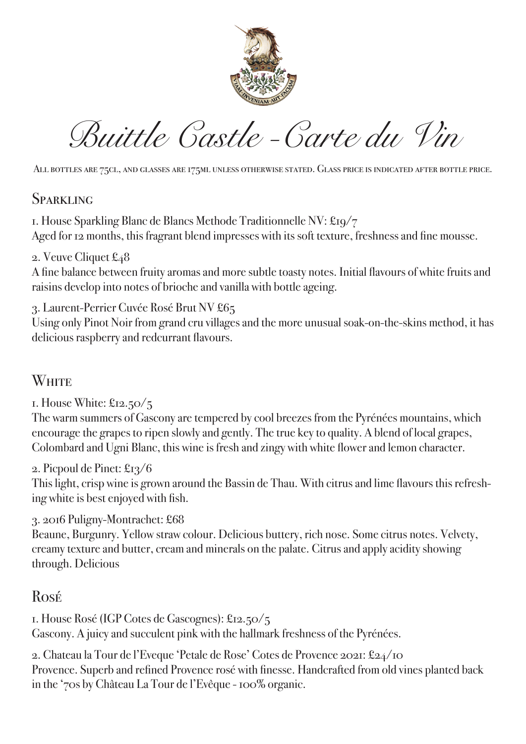

*Buittle Castle -Carte du Vin*

All bottles are 75cl, and glasses are 175ml unless otherwise stated. Glass price is indicated after bottle price.

#### **SPARKLING**

1. House Sparkling Blanc de Blancs Methode Traditionnelle NV: £19/7 Aged for 12 months, this fragrant blend impresses with its soft texture, freshness and fine mousse.

#### 2. Veuve Cliquet £48

A fine balance between fruity aromas and more subtle toasty notes. Initial flavours of white fruits and raisins develop into notes of brioche and vanilla with bottle ageing.

3. Laurent-Perrier Cuvée Rosé Brut NV £65

Using only Pinot Noir from grand cru villages and the more unusual soak-on-the-skins method, it has delicious raspberry and redcurrant flavours.

## White

1. House White: £12.50/5

The warm summers of Gascony are tempered by cool breezes from the Pyrénées mountains, which encourage the grapes to ripen slowly and gently. The true key to quality. A blend of local grapes, Colombard and Ugni Blanc, this wine is fresh and zingy with white flower and lemon character.

#### 2. Picpoul de Pinet: £13/6

This light, crisp wine is grown around the Bassin de Thau. With citrus and lime flavours this refreshing white is best enjoyed with fish.

#### 3. 2016 Puligny-Montrachet: £68

Beaune, Burgunry. Yellow straw colour. Delicious buttery, rich nose. Some citrus notes. Velvety, creamy texture and butter, cream and minerals on the palate. Citrus and apply acidity showing through. Delicious

### Rosé

1. House Rosé (IGP Cotes de Gascognes): £12.50/5 Gascony. A juicy and succulent pink with the hallmark freshness of the Pyrénées.

2. Chateau la Tour de l'Eveque 'Petale de Rose' Cotes de Provence 2021: £24/10 Provence. Superb and refined Provence rosé with finesse. Handcrafted from old vines planted back in the '70s by Château La Tour de l'Evêque - 100% organic.